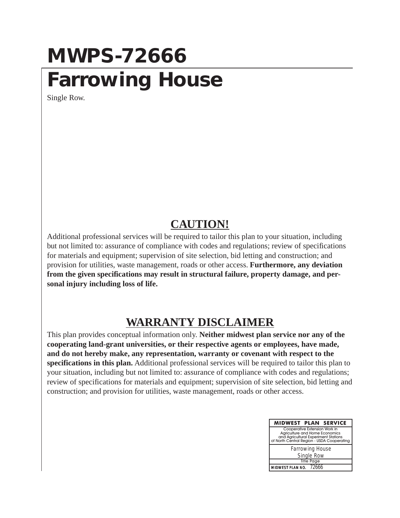## **MWPS-72666 Farrowing House**

Single Row.

## **CAUTION!**

Additional professional services will be required to tailor this plan to your situation, including but not limited to: assurance of compliance with codes and regulations; review of specifications for materials and equipment; supervision of site selection, bid letting and construction; and provision for utilities, waste management, roads or other access. **Furthermore, any deviation from the given specifications may result in structural failure, property damage, and personal injury including loss of life.**

## **WARRANTY DISCLAIMER**

This plan provides conceptual information only. **Neither midwest plan service nor any of the cooperating land-grant universities, or their respective agents or employees, have made, and do not hereby make, any representation, warranty or covenant with respect to the specifications in this plan.** Additional professional services will be required to tailor this plan to your situation, including but not limited to: assurance of compliance with codes and regulations; review of specifications for materials and equipment; supervision of site selection, bid letting and construction; and provision for utilities, waste management, roads or other access.